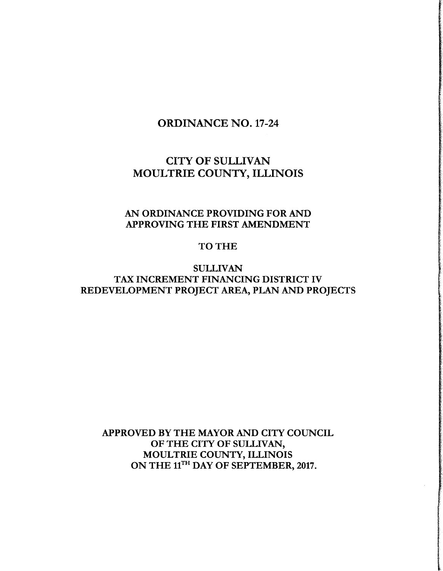# ORDINANCE NO. 17-24

# CITY OF SULLIVAN MOULTRIE COUNTY, ILLINOIS

# AN ORDINANCE PROVIDING FOR AND APPROVING THE FIRST AMENDMENT

## TO THE

# SULLIVAN TAX INCREMENT FINANCING DISTRICT IV REDEVELOPMENT PROJECT AREA, PLAN AND PROJECTS

APPROVED BY THE MAYOR AND CITY COUNCIL OF THE CITY OF SULLIVAN, MOULTRIE COUNTY, ILLINOIS ON THE 11<sup>TH</sup> DAY OF SEPTEMBER, 2017.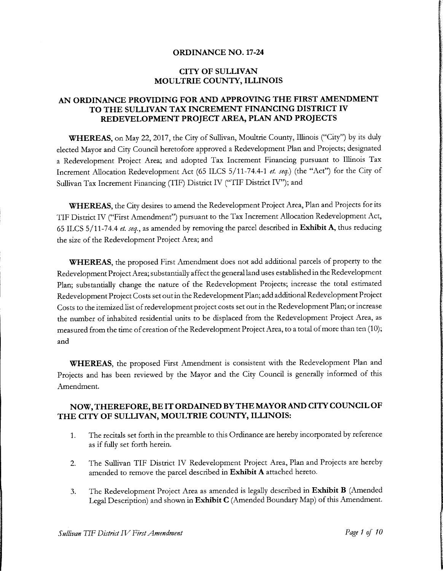#### ORDINANCE NO. 17-24

#### CITY OF SULLIVAN MOULTRIE COUNTY, ILLINOIS

#### AN ORDINANCE PROVIDING FOR AND APPROVING THE FIRST AMENDMENT TO THE SULLIVAN TAX INCREMENT FINANCING DISTRICT IV REDEVELOPMENT PROJECT AREA, PLAN AND PROJECTS

WHEREAS, on May 22, 2017, the City of Sullivan, Moultrie County, Illinois ("City") by its duly elected Mayor and City Council heretofore approved a Redevelopment Plan and Projects; designated <sup>a</sup> Redevelopment Project Area; and adopted Tax Increment Financing pursuant to Illinois Tax Increment Allocation Redevelopment Act (65 ILCS 5/11-74.4-1 et. seq.) (the "Act") for the City of Sullivan Tax Increment Financing (TIF) District IV ("TIF District IV"); and

WHEREAS, the City desires to amend the Redevelopment Project Area, Plan and Projects for its TIF District IV(" First Amendment") pursuant to the Tax Increment Allocation Redevelopment Act, 65 ILCS 5/11-74.4 et. seq., as amended by removing the parcel described in Exhibit A, thus reducing the size of the Redevelopment Project Area; and

WHEREAS, the proposed First Amendment does not add additional parcels of property to the Redevelopment ProjectArea; substantially affect the general land uses established in the Redevelopment Plan; substantially change the nature of the Redevelopment Projects; increase the total estimated Redevelopment Project Costs set out in the Redevelopment Plan; add additional Redevelopment Project Costs to the itemized list of redevelopment project costs set out in the Redevelopment Plan; or increase the number of inhabited residential units to be displaced from the Redevelopment Project Area, as measured from the time of creation of the Redevelopment Project Area, to a total of more than ten (10); and

WHEREAS, the proposed First Amendment is consistent with the Redevelopment Plan and Projects and has been reviewed by the Mayor and the City Council is generally informed of this Amendment.

#### NOW,THEREFORE, BE IT ORDAINED BY THE MAYOR AND CITY COUNCIL OF THE CITY OF SULLIVAN, MOULTRIE COUNTY, ILLINOIS:

- 1. The recitals set forth in the preamble to this Ordinance are hereby incorporated by reference as if fully set forth herein.
- 2. The Sullivan TIF District IV Redevelopment Project Area, Plan and Projects are hereby amended to remove the parcel described in Exhibit A attached hereto.
- 3. The Redevelopment Project Area as amended is legally described in Exhibit B (Amended Legal Description) and shown in Exhibit C( Amended Boundary Map) of this Amendment.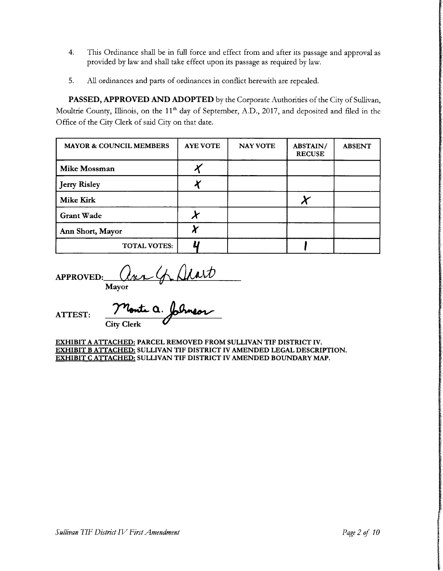- 4. This Ordinance shall be in full force and effect from and after its passage and approval as provided by law and shall take effect upon its passage as required by law.
- 5. All ordinances and parts of ordinances in conflict herewith are repealed.

PASSED, APPROVED AND ADOPTED by the Corporate Authorities of the City of Sullivan, Moultrie County, Illinois, on the 11<sup>th</sup> day of September, A.D., 2017, and deposited and filed in the Office of the City Clerk of said City on that date.

| <b>MAYOR &amp; COUNCIL MEMBERS</b> | <b>AYE VOTE</b> | <b>NAY VOTE</b> | ABSTAIN/<br><b>RECUSE</b> | <b>ABSENT</b> |
|------------------------------------|-----------------|-----------------|---------------------------|---------------|
| <b>Mike Mossman</b>                |                 |                 |                           |               |
| <b>Jerry Risley</b>                |                 |                 |                           |               |
| <b>Mike Kirk</b>                   |                 |                 |                           |               |
| <b>Grant Wade</b>                  |                 |                 |                           |               |
| Ann Short, Mayor                   |                 |                 |                           |               |
| <b>TOTAL VOTES:</b>                |                 |                 |                           |               |

APPROVED: Mayor

ATTEST:

Monte a. City Clerk

EXHIBIT A ATTACHED: PARCEL REMOVED FROM SULLIVAN TIF DISTRICT IV. EXHIBIT B ATTACHED: SULLIVAN TIF DISTRICT IV AMENDED LEGAL DESCRIPTION. EXHIBIT C ATTACHED: SULLIVAN TIF DISTRICT IV AMENDED BOUNDARY MAP.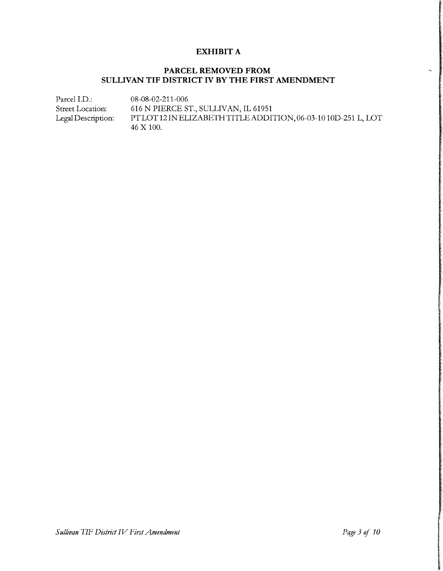#### EXHIBIT A

### PARCEL REMOVED FROM SULLIVAN TIF DISTRICT IV BY THE FIRST AMENDMENT

Parcel I.D.: 08-08-02-211-006 Street Location: 616 N PIERCE ST., SULLIVAN, IL 61951 Legal Description: PT LOT 12 IN ELIZABETH TITLE ADDITION, 06-03-10 10D-251 L, LOT 46 X 100.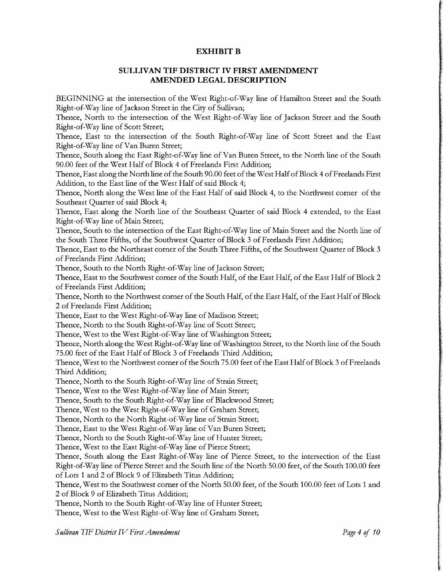#### EXHIBIT B

#### SULLIVAN TIF DISTRICT IV FIRST AMENDMENT AMENDED LEGAL DESCRIPTION

BEGINNING at the intersection of the West Right-of-Way line of Hamilton Street and the South Right-of-Way line of Jackson Street in the City of Sullivan;

Thence, North to the intersection of the West Right-of-Way line of Jackson Street and the South Right-of-Way line of Scott Street;

Thence, East to the intersection of the South Right-of-Way line of Scott Street and the East Right-of-Way line of Van Buren Street;

Thence, South along the East Right-of-Way line of Van Buren Street, to the North line of the South 90.00 feet of the West Half of Block <sup>4</sup> of Freelands First Addition;

Thence, East along the North line of the South 90.00 feet of the West Half of Block 4 of Freelands First Addition, to the East line of the West Half of said Block 4;

Thence, North along the West line of the East Half of said Block 4, to the Northwest corner of the Southeast Quarter of said Block 4;

Thence, East along the North line of the Southeast Quarter of said Block 4 extended, to the East Right-of-Way line of Main Street;

Thence, South to the intersection of the East Right-of-Way line of Main Street and the North line of the South Three Fifths, of the Southwest Quarter of Block <sup>3</sup> of Freelands First Addition;

Thence, East to the Northeast corner of the South Three Fifths, of the Southwest Quarter of Block <sup>3</sup> of Freelands First Addition;

Thence, South to the North Right-of-Way line of Jackson Street;

Thence, East to the Southwest corner of the South Half, of the East Half, of the East Half of Block 2 of Freelands First Addition;

Thence, North to the Northwest corner of the South Half, of the East Half, of the East Half of Block <sup>2</sup> of Freelands First Addition;

Thence, East to the West Right-of-Way line of Madison Street;

Thence, North to the South Right-of-Way line of Scott Street;

Thence, West to the West Right-of-Way line of Washington Street;

Thence, North along the West Right-of-Way line of Washington Street, to the North line of the South 75.00 feet of the East Half of Block <sup>3</sup> of Freelands Third Addition;

Thence, West to the Northwest corner of the South 75.00 feet of the East Half of Block 3 of Freelands Third Addition;

Thence, North to the South Right-of-Way line of Strain Street;

Thence, West to the West Right-of-Way line of Main Street;

Thence, South to the South Right-of-Way line of Blackwood Street;

Thence, West to the West Right-of-Way line of Graham Street;

Thence, North to the North Right-of-Way line of Strain Street;

Thence, East to the West Right-of-Way line of Van Buren Street;

Thence, North to the South Right-of-Way line of Hunter Street;

Thence, West to the East Right-of-Way line of Pierce Street;

Thence, South along the East Right-of-Way line of Pierce Street, to the intersection of the East Right-of-Way line of Pierce Street and the South line of the North 50.00 feet, of the South 100.00 feet of Lots 1 and 2 of Block 9 of Elizabeth Titus Addition;

Thence, West to the Southwest corner of the North 50.00 feet, of the South 100.00 feet of Lots <sup>1</sup> and <sup>2</sup> of Block <sup>9</sup> of Elizabeth Titus Addition;

Thence, North to the South Right-of-Way line of Hunter Street;

Thence, West to the West Right-of-Way line of Graham Street;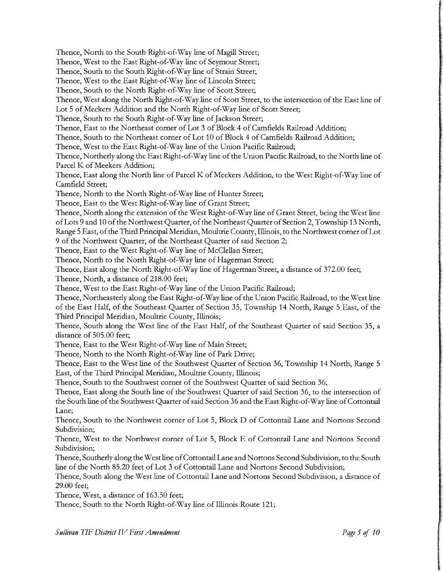Thence, North to the South Right-of-Way line of Magill Street; Thence, West to the East Right-of-Way line of Seymour Street; Thence, South to the South Right-of-Way line of Strain Street; Thence, West to the East Right-of-Way line of Lincoln Street; Thence, South to the North Right-of-Way line of Scott Street; Thence, West along the North Right-of-Way line of Scott Street, to the intersection of the East line of Lot <sup>5</sup> of Meekers Addition and the North Right-of-Way line of Scott Street; Thence, South to the South Right-of-Way line of Jackson Street; Thence, East to the Northeast corner of Lot 3 of Block 4 of Camfields Railroad Addition; Thence, South to the Northeast corner of Lot <sup>10</sup> of Block <sup>4</sup> of Camfields Railroad Addition; Thence, West to the East Right-of-Way line of the Union Pacific Railroad; Thence, Northerly along the East Right-of-Way line of the Union Pacific Railroad, to the North line of Parcel K of Meekers Addition; Thence, East along the North line of Parcel K of Meekers Addition, to the West Right-of-Way line of Camfield Street; Thence, North to the North Right-of-Way line of Hunter Street; Thence, East to the West Right-of-Way line of Grant Street; Thence, North along the extension of the West Right-of-Way line of Grant Street, being the West line of Lots 9 and 10 of the Northwest Quarter, of the Northeast Quarter of Section 2, Township 13 North, Range 5 East, of the Third Principal Meridian, Moultrie County, Illinois, to the Northwest corner of Lot <sup>9</sup> of the Northwest Quarter, of the Northeast Quarter of said Section 2; Thence, East to the West Right-of-Way line of McClellan Street; Thence, North to the North Right-of-Way line of Hagerman Street; Thence, East along the North Right-of-Way line of Hagerman Street, <sup>a</sup> distance of 372.00 feet; Thence, North, a distance of 218.00 feet; Thence, West to the East Right-of-Way line of the Union Pacific Railroad; Thence, Northeasterly along the East Right-of-Way line of the Union Pacific Railroad, to the West line of the East Half, of the Southeast Quarter of Section 35, Township 14 North, Range <sup>5</sup> East, of the Third Principal Meridian, Moultrie County, Illinois; Thence, South along the West line of the East Half, of the Southeast Quarter of said Section 35, a distance of 505.00 feet; Thence, East to the West Right-of-Way line of Main Street; Thence, North to the North Right-of-Way line of Park Drive; Thence, East to the West line of the Southwest Quarter of Section 36, Township 14 North, Range <sup>5</sup> East, of the Third Principal Meridian, Moultrie County, Illinois; Thence, South to the Southwest corner of the Southwest Quarter of said Section 36; Thence, East along the South line of the Southwest Quarter of said Section 36, to the intersection of the South line of the Southwest Quarter of said Section 36 and the East Right-of-Way line of Cottontail Lane; Thence, South to the Northwest corner of Lot 5, Block D of Cottontail Lane and Nortons Second Subdivision; Thence, West to the Northwest corner of Lot 5, Block E of Cottontail Lane and Nortons Second Subdivision; Thence, Southerly along the West line of Cottontail Lane and Nortons Second Subdivision, to the South line of the North 85.20 feet of Lot <sup>3</sup> of Cottontail Lane and Nortons Second Subdivision; Thence, South along the West line of Cottontail Lane and Nortons Second Subdivision, <sup>a</sup> distance of 29.00 feet; Thence, West, <sup>a</sup> distance of 163.50 feet; Thence, South to the North Right-of-Way line of Illinois Route 121;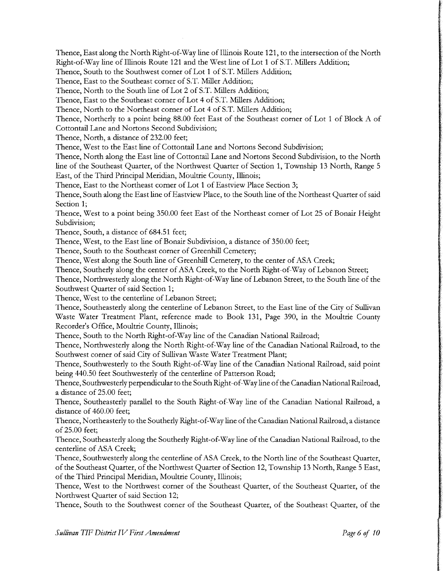Thence, East along the North Right-of-Way line of Illinois Route 121, to the intersection of the North Right-of-Way line of Illinois Route <sup>121</sup> and the West line of Lot <sup>1</sup> of S.T. Millers Addition;

Thence, South to the Southwest corner of Lot 1 of S.T. Millers Addition;

Thence, East to the Southeast corner of S.T. Miller Addition;

Thence, North to the South line of Lot <sup>2</sup> of S.T. Millers Addition;

Thence, East to the Southeast corner of Lot 4 of S.T. Millers Addition;

Thence, North to the Northeast corner of Lot 4 of S.T. Millers Addition;

Thence, Northerly to <sup>a</sup> point being 88. 00 feet East of the Southeast corner of Lot <sup>1</sup> of Block A of Cottontail Lane and Nortons Second Subdivision;

Thence, North, <sup>a</sup> distance of 232.00 feet;

Thence, West to the East line of Cottontail Lane and Nortons Second Subdivision;

Thence, North along the East line of Cottontail Lane and Nortons Second Subdivision, to the North line of the Southeast Quarter, of the Northwest Quarter of Section 1, Township <sup>13</sup> North, Range <sup>5</sup> East, of the Third Principal Meridian, Moultrie County, Illinois;

Thence, East to the Northeast corner of Lot <sup>1</sup> of Eastview Place Section 3;

Thence, South along the East line of Eastview Place, to the South line of the Northeast Quarter of said Section 1;

Thence, West to <sup>a</sup> point being 350.00 feet East of the Northeast corner of Lot 25 of Bonair Height Subdivision;

Thence, South, <sup>a</sup> distance of 684.51 feet;

Thence, West, to the East line of Bonair Subdivision, <sup>a</sup> distance of 350.00 feet;

Thence, South to the Southeast corner of Greenhill Cemetery;

Thence, West along the South line of Greenhill Cemetery, to the center of ASA Creek;

Thence, Southerly along the center of ASA Creek, to the North Right-of-Way of Lebanon Street;

Thence, Northwesterly along the North Right-of-Way line of Lebanon Street, to the South line of the Southwest Quarter of said Section 1;

Thence, West to the centerline of Lebanon Street;

Thence, Southeasterly along the centerline of Lebanon Street, to the East line of the City of Sullivan Waste Water Treatment Plant, reference made to Book 131, Page 390, in the Moultrie County Recorder's Office, Moultrie County, Illinois;

Thence, South to the North Right-of-Way line of the Canadian National Railroad;

Thence, Northwesterly along the North Right-of-Way line of the Canadian National Railroad, to the Southwest corner of said City of Sullivan Waste Water Treatment Plant;

Thence, Southwesterly to the South Right-of-Way line of the Canadian National Railroad, said point being 440.50 feet Southwesterly of the centerline of Patterson Road;

Thence, Southwesterly perpendicular to the South Right-of-Way line ofthe Canadian National Railroad, <sup>a</sup> distance of 25.00 feet;

Thence, Southeasterly parallel to the South Right-of-Way line of the Canadian National Railroad, a distance of 460.00 feet;

Thence, Northeasterly to the Southerly Right-of-Way line of the Canadian National Railroad, <sup>a</sup> distance of 25.00 feet;

Thence, Southeasterly along the Southerly Right-of-Way line of the Canadian National Railroad, to the centerline of ASA Creek;

Thence, Southwesterly along the centerline of ASA Creek, to the North line of the Southeast Quarter, of the Southeast Quarter, of the Northwest Quarter of Section 12, Township <sup>13</sup> North, Range <sup>5</sup> East, of the Third Principal Meridian, Moultrie County, Illinois;

Thence, West to the Northwest corner of the Southeast Quarter, of the Southeast Quarter, of the Northwest Quarter of said Section 12;

Thence, South to the Southwest corner of the Southeast Quarter, of the Southeast Quarter, of the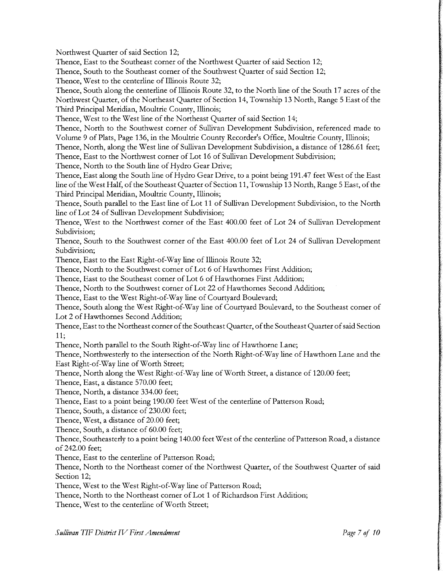Northwest Quarter of said Section 12;

Thence, East to the Southeast corner of the Northwest Quarter of said Section 12;

Thence, South to the Southeast corner of the Southwest Quarter of said Section 12;

Thence, West to the centerline of Illinois Route 32;

Thence, South along the centerline of Illinois Route 32, to the North line of the South <sup>17</sup> acres of the Northwest Quarter, of the Northeast Quarter of Section 14, Township <sup>13</sup> North, Range <sup>5</sup> East of the Third Principal Meridian, Moultrie County, Illinois;

Thence, West to the West line of the Northeast Quarter of said Section 14;

Thence, North to the Southwest corner of Sullivan Development Subdivision, referenced made to Volume <sup>9</sup> of Plats, Page 136, in the Moultrie County Recorder's Office, Moultrie County, Illinois;

Thence, North, along the West line of Sullivan Development Subdivision, <sup>a</sup> distance of 1286. <sup>61</sup> feet; Thence, East to the Northwest corner of Lot <sup>16</sup> of Sullivan Development Subdivision;

Thence, North to the South line of Hydro Gear Drive;

Thence, East along the South line of Hydro Gear Drive, to <sup>a</sup> point being 191. 47 feet West of the East line of the West Half, of the Southeast Quarter of Section 11, Township 13 North, Range 5 East, of the Third Principal Meridian, Moultrie County, Illinois;

Thence, South parallel to the East line of Lot <sup>11</sup> of Sullivan Development Subdivision, to the North line of Lot 24 of Sullivan Development Subdivision;

Thence, West to the Northwest corner of the East 400.00 feet of Lot 24 of Sullivan Development Subdivision;

Thence, South to the Southwest corner of the East 400.00 feet of Lot 24 of Sullivan Development Subdivision;

Thence, East to the East Right-of-Way line of Illinois Route 32;

Thence, North to the Southwest corner of Lot <sup>6</sup> of Hawthornes First Addition;

Thence, East to the Southeast corner of Lot <sup>6</sup> of Hawthornes First Addition;

Thence, North to the Southwest corner of Lot 22 of Hawthornes Second Addition;

Thence, East to the West Right-of-Way line of Courtyard Boulevard;

Thence, South along the West Right-of-Way line of Courtyard Boulevard, to the Southeast corner of Lot <sup>2</sup> of Hawthornes Second Addition;

Thence, East to the Northeast corner of the Southeast Quarter, of the Southeast Quarter of said Section 11;

Thence, North parallel to the South Right-of-Way line of Hawthorne Lane;

Thence, Northwesterly to the intersection of the North Right-of-Way line of Hawthorn Lane and the East Right-of-Way line of Worth Street;

Thence, North along the West Right-of-Way line of Worth Street, a distance of 120.00 feet;

Thence, East, a distance 570.00 feet;

Thence, North, <sup>a</sup> distance 334.00 feet;

Thence, East to <sup>a</sup> point being 190.00 feet West of the centerline of Patterson Road;

Thence, South, <sup>a</sup> distance of 230.00 feet;

Thence, West, <sup>a</sup> distance of 20.00 feet;

Thence, South, <sup>a</sup> distance of 60.00 feet;

Thence, Southeasterly to a point being 140.00 feet West of the centerline of Patterson Road, a distance of 242.00 feet;

Thence, East to the centerline of Patterson Road;

Thence, North to the Northeast corner of the Northwest Quarter, of the Southwest Quarter of said Section 12;

Thence, West to the West Right-of-Way line of Patterson Road;

Thence, North to the Northeast corner of Lot <sup>1</sup> of Richardson First Addition;

Thence, West to the centerline of Worth Street;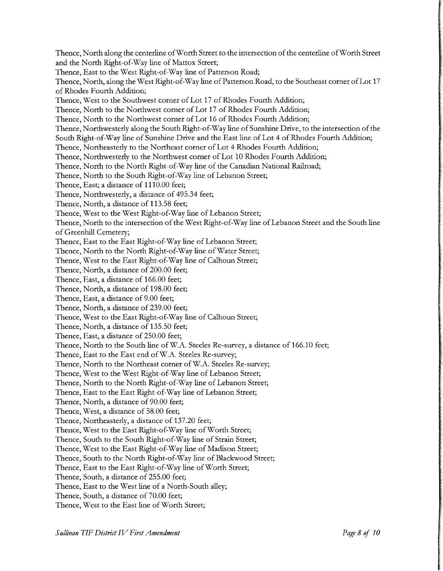Thence, North along the centerline ofWorth Street to the intersection of the centerline ofWorth Street and the North Right-of-Way line of Mattox Street; Thence, East to the West Right-of-Way line of Patterson Road; Thence, North, along the West Right-of-Way line of Patterson Road, to the Southeast corner of Lot 17 of Rhodes Fourth Addition; Thence, West to the Southwest corner of Lot <sup>17</sup> of Rhodes Fourth Addition; Thence, North to the Northwest corner of Lot <sup>17</sup> of Rhodes Fourth Addition; Thence, North to the Northwest corner of Lot <sup>16</sup> of Rhodes Fourth Addition; Thence, Northwesterly along the South Right-of-Way line of Sunshine Drive, to the intersection of the South Right-of-Way line of Sunshine Drive and the East line of Lot 4 of Rhodes Fourth Addition; Thence, Northeasterly to the Northeast corner of Lot 4 Rhodes Fourth Addition; Thence, Northwesterly to the Northwest corner of Lot <sup>10</sup> Rhodes Fourth Addition; Thence, North to the North Right-of-Way line of the Canadian National Railroad; Thence, North to the South Right-of-Way line of Lebanon Street; Thence, East; <sup>a</sup> distance of 1110.00 feet; Thence, Northwesterly, a distance of 495.34 feet; Thence, North, a distance of 113.58 feet; Thence, West to the West Right-of-Way line of Lebanon Street; Thence, North to the intersection of the West Right-of-Way line of Lebanon Street and the South line of Greenhill Cemetery; Thence, East to the East Right-of-Way line of Lebanon Street; Thence, North to the North Right-of-Way line of Water Street; Thence, West to the East Right-of-Way line of Calhoun Street; Thence, North, <sup>a</sup> distance of 200.00 feet; Thence, East, a distance of 166.00 feet; Thence, North, <sup>a</sup> distance of 198.00 feet; Thence, East, a distance of 9.00 feet; Thence, North, <sup>a</sup> distance of 239.00 feet; Thence, West to the East Right-of-Way line of Calhoun Street; Thence, North, a distance of 135.50 feet; Thence, East, <sup>a</sup> distance of 250.00 feet; Thence, North to the South line of W.A. Steeles Re-survey, a distance of 166.10 feet; Thence, East to the East end of W.A. Steeles Re-survey; Thence, North to the Northeast corner of W.A. Steeles Re-survey; Thence, West to the West Right-of-Way line of Lebanon Street; Thence, North to the North Right-of-Way line of Lebanon Street; Thence, East to the East Right-of-Way line of Lebanon Street; Thence, North, <sup>a</sup> distance of 90.00 feet; Thence, West, <sup>a</sup> distance of 58.00 feet; Thence, Northeasterly, <sup>a</sup> distance of 137.20 feet; Thence, West to the East Right-of-Way line of Worth Street; Thence, South to the South Right-of-Way line of Strain Street; Thence, West to the East Right-of-Way line of Madison Street; Thence, South to the North Right-of-Way line of Blackwood Street; Thence, East to the East Right-of-Way line of Worth Street; Thence, South, <sup>a</sup> distance of 255.00 feet; Thence, East to the West line of <sup>a</sup> North-South alley; Thence, South, <sup>a</sup> distance of 70.00 feet; Thence, West to the East line of Worth Street;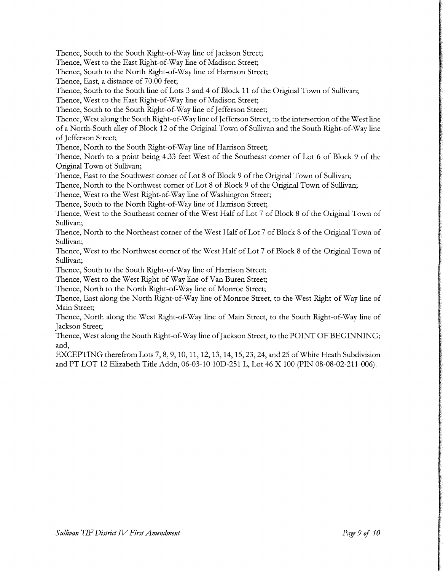Thence, South to the South Right-of-Way line of Jackson Street;

Thence, West to the East Right-of-Way line of Madison Street;

Thence, South to the North Right-of-Way line of Harrison Street;

Thence, East, a distance of 70.00 feet;

Thence, South to the South line of Lots <sup>3</sup> and 4 of Block <sup>11</sup> of the Original Town of Sullivan;

Thence, West to the East Right-of-Way line of Madison Street;

Thence, South to the South Right-of-Way line of Jefferson Street;

Thence, West along the South Right-of-Way line of Jefferson Street, to the intersection of the West line of <sup>a</sup> North-South alley of Block <sup>12</sup> of the Original Town of Sullivan and the South Right-of-Way line of Jefferson Street;

Thence, North to the South Right-of-Way line of Harrison Street;

Thence, North to <sup>a</sup> point being 4.33 feet West of the Southeast corner of Lot <sup>6</sup> of Block <sup>9</sup> of the Original Town of Sullivan;

Thence, East to the Southwest corner of Lot <sup>8</sup> of Block <sup>9</sup> of the Original Town of Sullivan;

Thence, North to the Northwest corner of Lot <sup>8</sup> of Block <sup>9</sup> of the Original Town of Sullivan;

Thence, West to the West Right-of-Way line of Washington Street;

Thence, South to the North Right-of-Way line of Harrison Street;

Thence, West to the Southeast corner of the West Half of Lot <sup>7</sup> of Block <sup>8</sup> of the Original Town of Sullivan;

Thence, North to the Northeast corner of the West Half of Lot <sup>7</sup> of Block <sup>8</sup> of the Original Town of Sullivan;

Thence, West to the Northwest corner of the West Half of Lot <sup>7</sup> of Block <sup>8</sup> of the Original Town of Sullivan;

Thence, South to the South Right-of-Way line of Harrison Street;

Thence, West to the West Right-of-Way line of Van Buren Street;

Thence, North to the North Right-of-Way line of Monroe Street;

Thence, East along the North Right-of-Way line of Monroe Street, to the West Right-of-Way line of Main Street;

Thence, North along the West Right-of-Way line of Main Street, to the South Right-of-Way line of Jackson Street;

Thence, West along the South Right-of-Way line of Jackson Street, to the POINT OF BEGINNING; and,

EXCEPTING therefrom Lots 7, 8, 9, 10, 11, 12, 13, 14, 15, 23, 24, and 25 ofWhite Heath Subdivision and PT LOT 12 Elizabeth Title Addn, 06-03-10 10D-251 L, Lot 46 X 100 (PIN 08-08-02-211-006).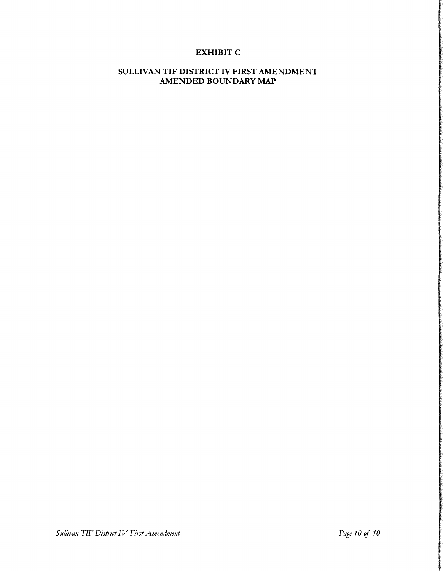### EXHIBIT C

#### SULLIVAN TIF DISTRICT IV FIRST AMENDMENT AMENDED BOUNDARY MAP